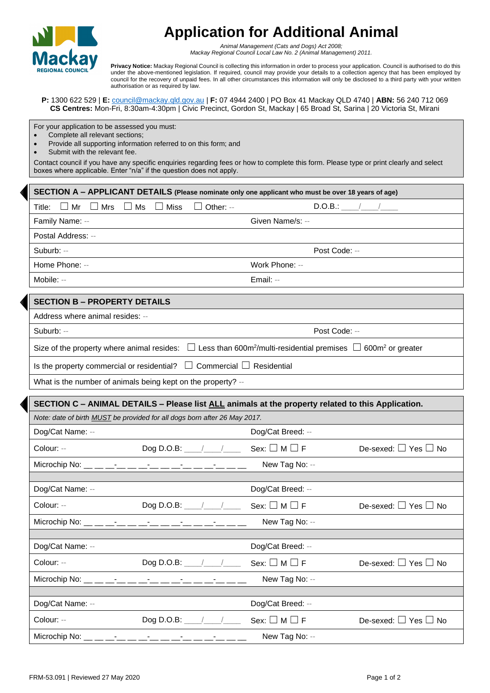

# **Application for Additional Animal**

*Animal Management (Cats and Dogs) Act 2008; Mackay Regional Council Local Law No. 2 (Animal Management) 2011.*

**Privacy Notice:** Mackay Regional Council is collecting this information in order to process your application. Council is authorised to do this under the above-mentioned legislation. If required, council may provide your details to a collection agency that has been employed by council for the recovery of unpaid fees. In all other circumstances this information will only be disclosed to a third party with your written authorisation or as required by law.

**P:** 1300 622 529 | **E:** [council@mackay.qld.gov.au](mailto:council@mackay.qld.gov.au) | **F:** 07 4944 2400 | PO Box 41 Mackay QLD 4740 | **ABN:** 56 240 712 069 **CS Centres:** Mon-Fri, 8:30am-4:30pm | Civic Precinct, Gordon St, Mackay | 65 Broad St, Sarina | 20 Victoria St, Mirani

For your application to be assessed you must:

- Complete all relevant sections;
- Provide all supporting information referred to on this form; and
- Submit with the relevant fee.

Contact council if you have any specific enquiries regarding fees or how to complete this form. Please type or print clearly and select boxes where applicable. Enter "n/a" if the question does not apply.

| SECTION A - APPLICANT DETAILS (Please nominate only one applicant who must be over 18 years of age)                                           |                             |                                                                                     |                      |                                                                                                   |  |
|-----------------------------------------------------------------------------------------------------------------------------------------------|-----------------------------|-------------------------------------------------------------------------------------|----------------------|---------------------------------------------------------------------------------------------------|--|
| Mr<br>$\Box$ Mrs<br>Title:                                                                                                                    | $\square$ Ms<br>$\Box$ Miss | $\Box$ Other: --                                                                    |                      | $D.O.B.:$ / /                                                                                     |  |
| Family Name: --                                                                                                                               | Given Name/s: --            |                                                                                     |                      |                                                                                                   |  |
| Postal Address: --                                                                                                                            |                             |                                                                                     |                      |                                                                                                   |  |
| Suburb: --                                                                                                                                    |                             |                                                                                     |                      | Post Code: --                                                                                     |  |
| Home Phone: --                                                                                                                                | Work Phone: --              |                                                                                     |                      |                                                                                                   |  |
| Mobile: --                                                                                                                                    | Email: --                   |                                                                                     |                      |                                                                                                   |  |
| <b>SECTION B - PROPERTY DETAILS</b>                                                                                                           |                             |                                                                                     |                      |                                                                                                   |  |
| Address where animal resides: --                                                                                                              |                             |                                                                                     |                      |                                                                                                   |  |
| Suburb: --                                                                                                                                    | Post Code: --               |                                                                                     |                      |                                                                                                   |  |
| Size of the property where animal resides: $\Box$ Less than 600m <sup>2</sup> /multi-residential premises $\Box$ 600m <sup>2</sup> or greater |                             |                                                                                     |                      |                                                                                                   |  |
| Is the property commercial or residential? $\Box$ Commercial $\Box$ Residential                                                               |                             |                                                                                     |                      |                                                                                                   |  |
| What is the number of animals being kept on the property? --                                                                                  |                             |                                                                                     |                      |                                                                                                   |  |
|                                                                                                                                               |                             |                                                                                     |                      | SECTION C - ANIMAL DETAILS - Please list ALL animals at the property related to this Application. |  |
| Note: date of birth MUST be provided for all dogs born after 26 May 2017.                                                                     |                             |                                                                                     |                      |                                                                                                   |  |
| Dog/Cat Name: --                                                                                                                              |                             |                                                                                     | Dog/Cat Breed: --    |                                                                                                   |  |
| Colour: --                                                                                                                                    |                             |                                                                                     | $Sex: \Box M \Box F$ | De-sexed: $\Box$ Yes $\Box$ No                                                                    |  |
|                                                                                                                                               |                             |                                                                                     | New Tag No: --       |                                                                                                   |  |
|                                                                                                                                               |                             |                                                                                     |                      |                                                                                                   |  |
| Dog/Cat Name: --                                                                                                                              |                             |                                                                                     | Dog/Cat Breed: --    |                                                                                                   |  |
| Colour: --                                                                                                                                    |                             | Dog D.O.B: $\_\_\_\_\_\_\_\_\_\_\_\_\_\_\_\_\_\_\_\_\_\_\_\_\_\_\_\_\_\_\_\_\_\_\_$ | $Sex: \Box M \Box F$ | De-sexed: $\Box$ Yes $\Box$ No                                                                    |  |
| Microchip No: __ __ __ __ __ __ __ __ __ __ __                                                                                                |                             |                                                                                     | New Tag No: --       |                                                                                                   |  |
| Dog/Cat Name: --                                                                                                                              |                             |                                                                                     | Dog/Cat Breed: --    |                                                                                                   |  |
| Colour: --                                                                                                                                    |                             | Dog D.O.B: $\frac{1}{2}$                                                            | $Sex: \Box M \Box F$ | De-sexed: $\Box$ Yes $\Box$ No                                                                    |  |
| Microchip No: $\_\_\_\_\_\_\_\_\_\_\_$                                                                                                        | $\sim 100$ km s $^{-1}$     |                                                                                     | New Tag No: --       |                                                                                                   |  |
|                                                                                                                                               |                             |                                                                                     |                      |                                                                                                   |  |
| Dog/Cat Name: --                                                                                                                              |                             |                                                                                     | Dog/Cat Breed: --    |                                                                                                   |  |
| Colour: --                                                                                                                                    | Dog D.O.B:                  |                                                                                     | $Sex: \Box M \Box F$ | De-sexed: $\Box$ Yes $\Box$ No                                                                    |  |
| Microchip No: __ __ __-__ __ __ __ __                                                                                                         |                             |                                                                                     | New Tag No: --       |                                                                                                   |  |